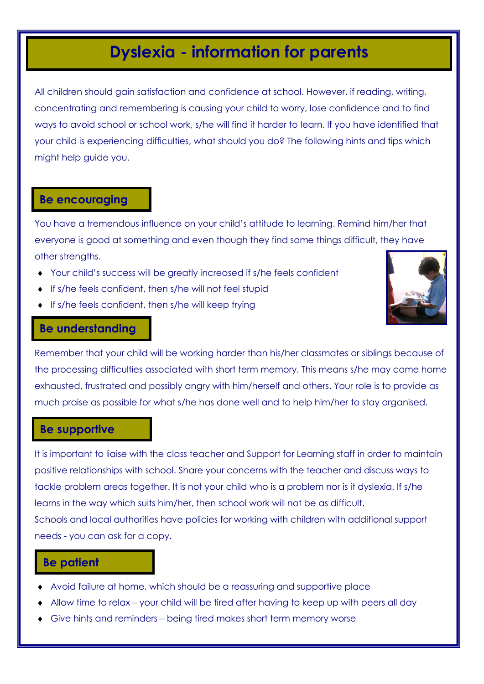# **Dyslexia - information for parents**

All children should gain satisfaction and confidence at school. However, if reading, writing, concentrating and remembering is causing your child to worry, lose confidence and to find ways to avoid school or school work, s/he will find it harder to learn. If you have identified that your child is experiencing difficulties, what should you do? The following hints and tips which might help guide you.

#### **Be encouraging**

You have a tremendous influence on your child's attitude to learning. Remind him/her that everyone is good at something and even though they find some things difficult, they have other strengths.

- Your child's success will be greatly increased if s/he feels confident
- $\bullet$  If s/he feels confident, then s/he will not feel stupid
- $\bullet$  If s/he feels confident, then s/he will keep trying



#### **Be understanding**

Remember that your child will be working harder than his/her classmates or siblings because of the processing difficulties associated with short term memory. This means s/he may come home exhausted, frustrated and possibly angry with him/herself and others. Your role is to provide as much praise as possible for what s/he has done well and to help him/her to stay organised.

#### **Be supportive**

It is important to liaise with the class teacher and Support for Learning staff in order to maintain positive relationships with school. Share your concerns with the teacher and discuss ways to tackle problem areas together. It is not your child who is a problem nor is it dyslexia. If s/he learns in the way which suits him/her, then school work will not be as difficult. Schools and local authorities have policies for working with children with additional support needs - you can ask for a copy.

### **Be patient**

- Avoid failure at home, which should be a reassuring and supportive place
- Allow time to relax your child will be tired after having to keep up with peers all day
- Give hints and reminders being tired makes short term memory worse